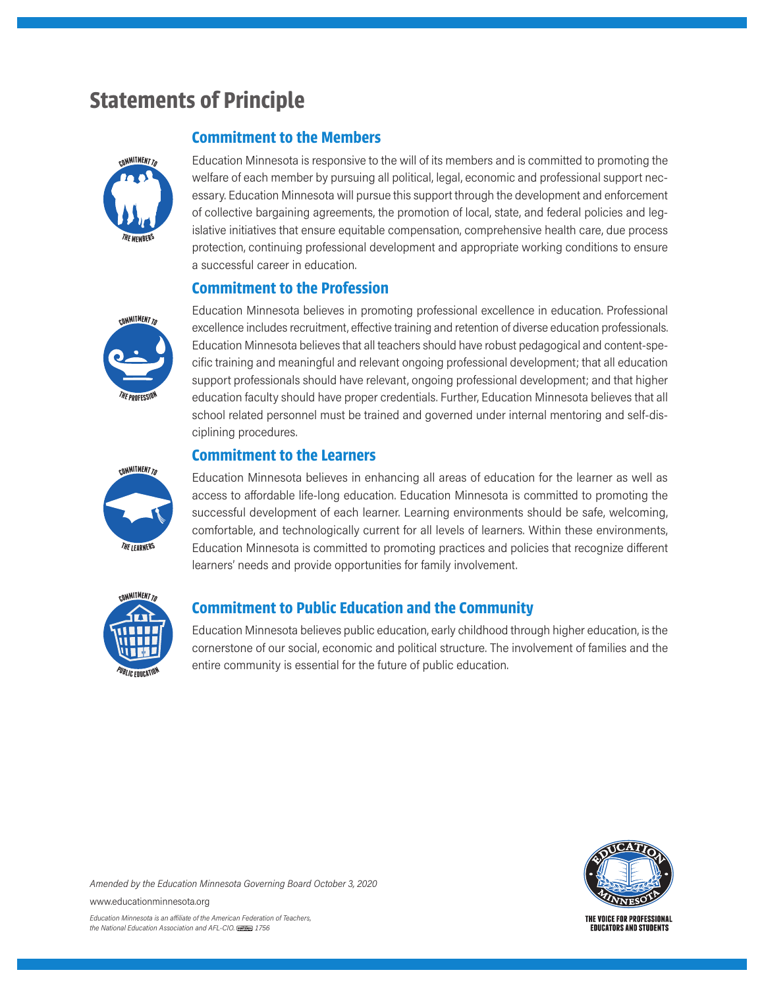# **Statements of Principle**





Education Minnesota is responsive to the will of its members and is committed to promoting the welfare of each member by pursuing all political, legal, economic and professional support necessary. Education Minnesota will pursue this support through the development and enforcement of collective bargaining agreements, the promotion of local, state, and federal policies and legislative initiatives that ensure equitable compensation, comprehensive health care, due process protection, continuing professional development and appropriate working conditions to ensure a successful career in education.

## **Commitment to the Profession**

Education Minnesota believes in promoting professional excellence in education. Professional excellence includes recruitment, effective training and retention of diverse education professionals. Education Minnesota believes that all teachers should have robust pedagogical and content-specific training and meaningful and relevant ongoing professional development; that all education support professionals should have relevant, ongoing professional development; and that higher education faculty should have proper credentials. Further, Education Minnesota believes that all school related personnel must be trained and governed under internal mentoring and self-disciplining procedures.

#### **Commitment to the Learners**

**<sup>C</sup>OMMITMENTT<sup>O</sup> <sup>T</sup>H<sup>E</sup> <sup>L</sup>EARNERS**

Education Minnesota believes in enhancing all areas of education for the learner as well as access to affordable life-long education. Education Minnesota is committed to promoting the successful development of each learner. Learning environments should be safe, welcoming, comfortable, and technologically current for all levels of learners. Within these environments, Education Minnesota is committed to promoting practices and policies that recognize different learners' needs and provide opportunities for family involvement.



## **Commitment to Public Education and the Community**

Education Minnesota believes public education, early childhood through higher education, is the cornerstone of our social, economic and political structure. The involvement of families and the entire community is essential for the future of public education.



*Amended by the Education Minnesota Governing Board October 3, 2020*

www.educationminnesota.org

*Education Minnesota is an a iliate of the American Federation of Teachers, the National Education Association and AFL-CIO. 1756*